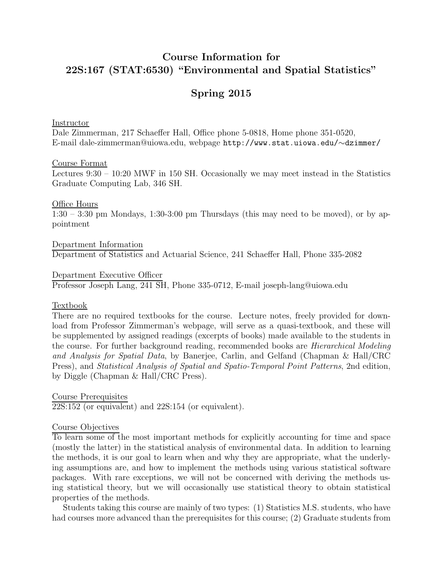# Course Information for 22S:167 (STAT:6530) "Environmental and Spatial Statistics"

# Spring 2015

Instructor

Dale Zimmerman, 217 Schaeffer Hall, Office phone 5-0818, Home phone 351-0520, E-mail dale-zimmerman@uiowa.edu, webpage http://www.stat.uiowa.edu/∼dzimmer/

#### Course Format

Lectures 9:30 – 10:20 MWF in 150 SH. Occasionally we may meet instead in the Statistics Graduate Computing Lab, 346 SH.

#### Office Hours

 $1:30 - 3:30$  pm Mondays,  $1:30-3:00$  pm Thursdays (this may need to be moved), or by appointment

Department Information Department of Statistics and Actuarial Science, 241 Schaeffer Hall, Phone 335-2082

#### Department Executive Officer

Professor Joseph Lang, 241 SH, Phone 335-0712, E-mail joseph-lang@uiowa.edu

#### **Textbook**

There are no required textbooks for the course. Lecture notes, freely provided for download from Professor Zimmerman's webpage, will serve as a quasi-textbook, and these will be supplemented by assigned readings (excerpts of books) made available to the students in the course. For further background reading, recommended books are Hierarchical Modeling and Analysis for Spatial Data, by Banerjee, Carlin, and Gelfand (Chapman & Hall/CRC Press), and Statistical Analysis of Spatial and Spatio-Temporal Point Patterns, 2nd edition, by Diggle (Chapman & Hall/CRC Press).

Course Prerequisites 22S:152 (or equivalent) and 22S:154 (or equivalent).

#### Course Objectives

To learn some of the most important methods for explicitly accounting for time and space (mostly the latter) in the statistical analysis of environmental data. In addition to learning the methods, it is our goal to learn when and why they are appropriate, what the underlying assumptions are, and how to implement the methods using various statistical software packages. With rare exceptions, we will not be concerned with deriving the methods using statistical theory, but we will occasionally use statistical theory to obtain statistical properties of the methods.

Students taking this course are mainly of two types: (1) Statistics M.S. students, who have had courses more advanced than the prerequisites for this course; (2) Graduate students from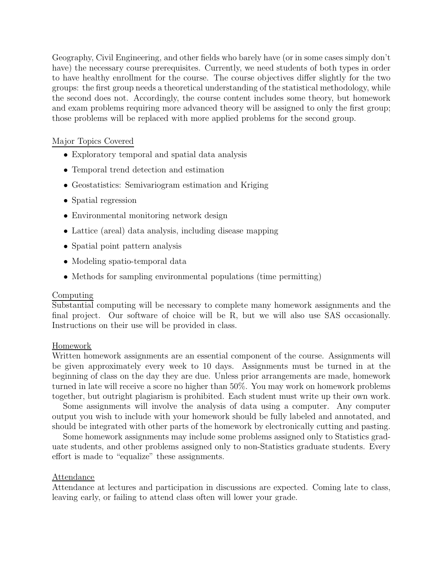Geography, Civil Engineering, and other fields who barely have (or in some cases simply don't have) the necessary course prerequisites. Currently, we need students of both types in order to have healthy enrollment for the course. The course objectives differ slightly for the two groups: the first group needs a theoretical understanding of the statistical methodology, while the second does not. Accordingly, the course content includes some theory, but homework and exam problems requiring more advanced theory will be assigned to only the first group; those problems will be replaced with more applied problems for the second group.

# Major Topics Covered

- Exploratory temporal and spatial data analysis
- Temporal trend detection and estimation
- Geostatistics: Semivariogram estimation and Kriging
- Spatial regression
- Environmental monitoring network design
- Lattice (areal) data analysis, including disease mapping
- Spatial point pattern analysis
- Modeling spatio-temporal data
- Methods for sampling environmental populations (time permitting)

# Computing

Substantial computing will be necessary to complete many homework assignments and the final project. Our software of choice will be R, but we will also use SAS occasionally. Instructions on their use will be provided in class.

# Homework

Written homework assignments are an essential component of the course. Assignments will be given approximately every week to 10 days. Assignments must be turned in at the beginning of class on the day they are due. Unless prior arrangements are made, homework turned in late will receive a score no higher than 50%. You may work on homework problems together, but outright plagiarism is prohibited. Each student must write up their own work.

Some assignments will involve the analysis of data using a computer. Any computer output you wish to include with your homework should be fully labeled and annotated, and should be integrated with other parts of the homework by electronically cutting and pasting.

Some homework assignments may include some problems assigned only to Statistics graduate students, and other problems assigned only to non-Statistics graduate students. Every effort is made to "equalize" these assignments.

## Attendance

Attendance at lectures and participation in discussions are expected. Coming late to class, leaving early, or failing to attend class often will lower your grade.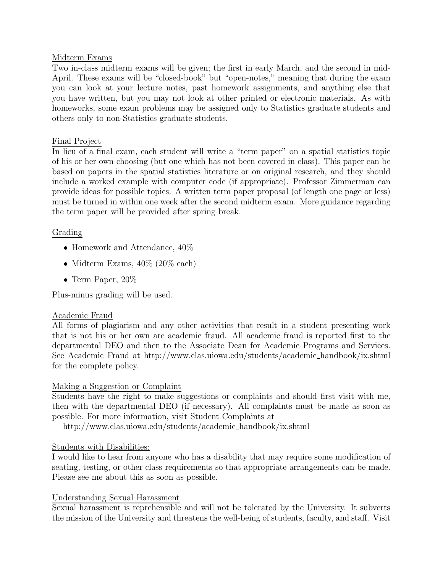## Midterm Exams

Two in-class midterm exams will be given; the first in early March, and the second in mid-April. These exams will be "closed-book" but "open-notes," meaning that during the exam you can look at your lecture notes, past homework assignments, and anything else that you have written, but you may not look at other printed or electronic materials. As with homeworks, some exam problems may be assigned only to Statistics graduate students and others only to non-Statistics graduate students.

## Final Project

In lieu of a final exam, each student will write a "term paper" on a spatial statistics topic of his or her own choosing (but one which has not been covered in class). This paper can be based on papers in the spatial statistics literature or on original research, and they should include a worked example with computer code (if appropriate). Professor Zimmerman can provide ideas for possible topics. A written term paper proposal (of length one page or less) must be turned in within one week after the second midterm exam. More guidance regarding the term paper will be provided after spring break.

## Grading

- Homework and Attendance,  $40\%$
- Midterm Exams,  $40\%$  (20% each)
- Term Paper,  $20\%$

Plus-minus grading will be used.

## Academic Fraud

All forms of plagiarism and any other activities that result in a student presenting work that is not his or her own are academic fraud. All academic fraud is reported first to the departmental DEO and then to the Associate Dean for Academic Programs and Services. See Academic Fraud at http://www.clas.uiowa.edu/students/academic handbook/ix.shtml for the complete policy.

## Making a Suggestion or Complaint

Students have the right to make suggestions or complaints and should first visit with me, then with the departmental DEO (if necessary). All complaints must be made as soon as possible. For more information, visit Student Complaints at

http://www.clas.uiowa.edu/students/academic handbook/ix.shtml

# Students with Disabilities:

I would like to hear from anyone who has a disability that may require some modification of seating, testing, or other class requirements so that appropriate arrangements can be made. Please see me about this as soon as possible.

## Understanding Sexual Harassment

Sexual harassment is reprehensible and will not be tolerated by the University. It subverts the mission of the University and threatens the well-being of students, faculty, and staff. Visit